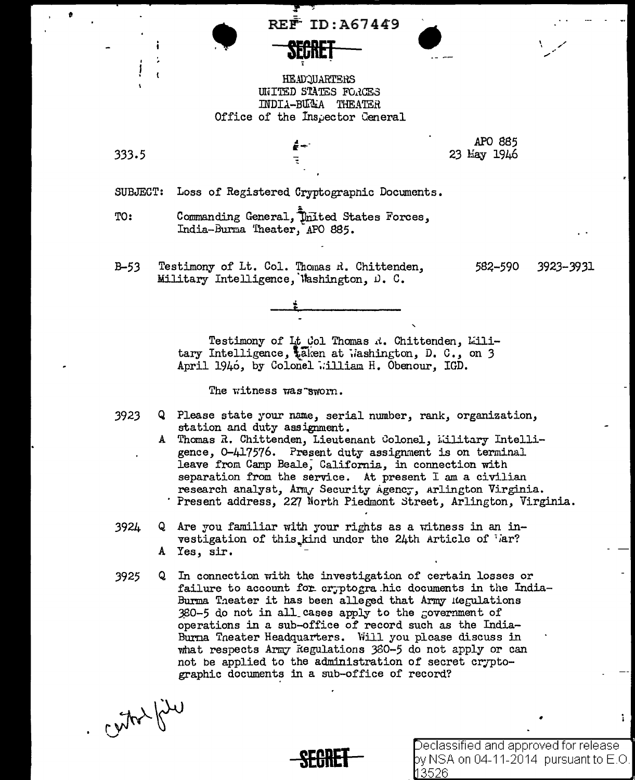REF<sup>ID</sup>:  $REF$  ID: A67449



HEADOUARTERS UNITED STATES FORCES INDIA-BURA THEATER Office of the Inspector General

 $\frac{1}{2}$  -

333.5

APO 885 23 May 1946

•

SUBJECT: Loss of Registered Cryptograpnic Documents.

TO: Commanding General, United States Forces, India-Burma Theater, APO 885.

B-53 Testimony of Lt. Col. Thomas R. Chittenden, Military Intelligence, Washington, D. C.

582-590 3923-3931

' . ,/'



The witness was-sworn.

- 3923 Q Please state your name, serial number, rank, organization, station and duty assignment.
	- A Thomas R. Chittenden, Lieutenant Colonel, Military Intelligence, 0-417576. Present duty assignment is on terminal leave from Camp Beale, California, in connection with separation from the service. At present I am a civilian research analyst, Army Security Agency, Arlington Virginia. Present address, *2Z7* North Piedmont Street, Arlington, Virginia.
- $3924$  Q Are you familiar with your rights as a witness in an investigation of this kind under the 24th Article of Gar? A Yes, sir.
- 3925 Q In connection with the investigation of certain losses or failure to account for cr; ptogra hic documents in the India-Burma Theater it has been alleged that Army negulations  $380-5$  do not in all\_cases apply to the government of operations in a sub-office of record such as the India-Burna Tneater Headquarters. Will you please discuss in what respects Army Regulations 380-5 do not apply or can not be applied to the administration of secret cryptographic documents in a sub-office of record?

 $-2\pi\hbar\omega$ 

**SEGRET**<br>Similar Section by NSA on 04-11-2014 pursuant to E.O. 3526

 $\mathbf{L}$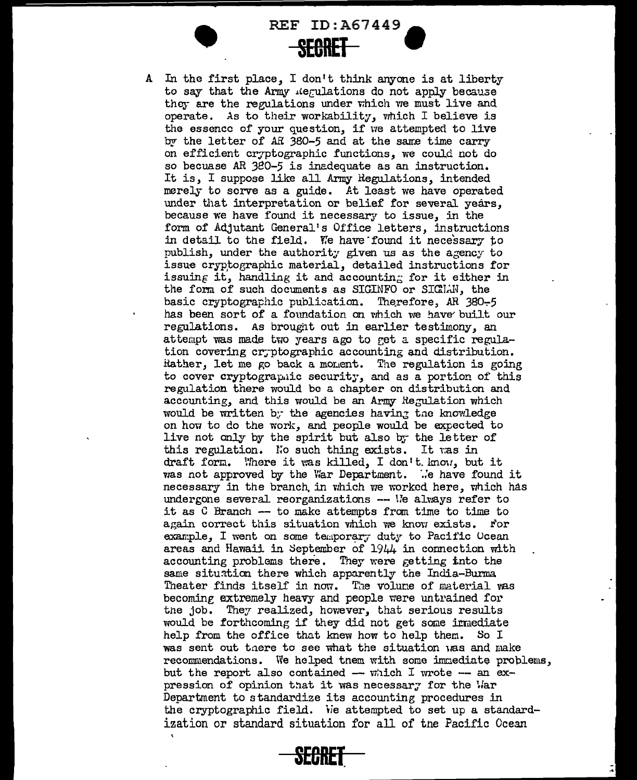REF ID:A67449 **SEBRET** 

A In the first place, I don't think anyone is at liberty to say that the Army *ilegulations* do not apply because they are the regulations under which we must live and operate. As to their workability, which I believe is the essence of your question, if we attempted to live by the letter of AR 380-5 and at the same time carry on efficient cryptographic functions, we could not do so becuase AR 380-5 is inadequate as an instruction. It is, I suppose like all Army Regulations, intended merely to serve as a guide. At least we have operated under that interpretation or belief for several years, because we have found it necessary to issue, in the form of Adjutant General's Office letters, instructions in detail to the field. We have found it necessary to publish, under the authority given us as the agency to issue cryptographic material, detailed instructions for issuing it, handling it and accounting for it either in the form of such documents as SIGINFO or SIGIAN, the basic cryptographic publication. Therefore, AR  $380-5$ has been sort of a foundation on which we have built our regulations. As brought out in earlier testimony, an attempt was made two years ago to get a specific regulation covering cryptographic accounting and distribution. Hather, let me go back a moment. The regulation is going to cover cryptographic security, and as a portion of this regulation there would be a chapter on distribution and accounting, and this would be an Army Regulation which would be written by the agencies having the knowledge on how to do the work, and people would be expected to live not only by the spirit but also by the letter of this regulation. No such thing exists. It ras in draft form. Where it was killed, I don't know, but it Vlas not approved by the War Department. *·.:e* have found it necessary in the branch in which we worked here, which has undergone several reorganizations  $-$  We always refer to it as  $C$  Branch  $-$  to make attempts from time to time to again correct this situation which we know exists. For example, I went on some temporary duty to Pacific Ocean areas and Hawaii in September of 1944 in connection with accounting problems there. They were getting tnto the same situation there which apparently the India-Burma Theater finds itself in now. The volume of material vas becoming extremely heavy and people were untrained for tne job. They realized, however, that serious results would be forthcoming if they did not get some irmediate help from the office that knew how to help them. So I was sent out there to see what the situation was and make recommendations. We helped tnem with some immediate problems, but the report also contained  $-$  which I wrote  $-$  an expression of opinion that it was necessar; for the Var Department to standardize its accounting procedures in the cryptographic field. We attempted to set up a standardization or standard situation for all of tne Pacific Ocean

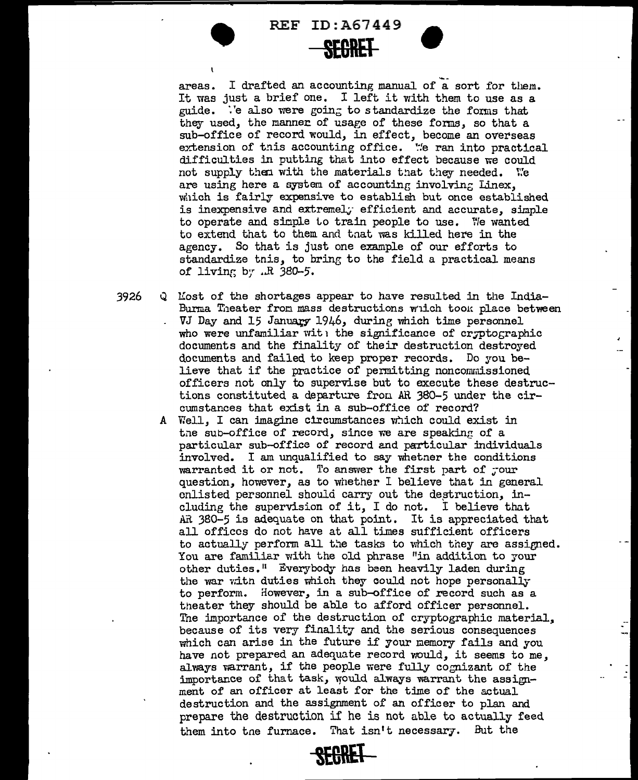

areas. I drafted an accounting manual of a sort for them. It was just a brief one. I left it with them to use as a guide.  $\ddot{\cdot}$  'e also were going to standardize the forms that they used, the manner of usage of these forms, so that a sub-office of record would, in effect, become an overseas extension of this accounting office. We ran into practical difficulties in putting that into effect because we could not supply then with the materials that they needed. We are using here a system of accounting involving Linex. which is fairly expensive to establish but once established is inexpensive and extremel. efficient and accurate, simple to operate and simple to train people to use. We wanted to extend that to them and that was killed here in the agency. So that is just one example of our efforts to standardize tnis, to bring to the field a practical means of living by  $.R$  380-5.

3926 *Q* Uost of the shortages appear to have resulted in the India-Burma Theater from mass destructions wilch took place between VJ Day and 15 January 1946, during which time personnel who were unfamiliar with the significance of cryptographic documents and the finality of their destruction destroyed documents and failed to keep proper records. Do you believe that if the practice of permitting noncommissioned officers not only to supervise but to execute these destructions constituted a departure from AR 380-5 under the circumstances that exist in a sub-office of record?

A Well, I can imagine circumstances which could exist in the sub-office of record, since we are speaking of a particular sub-office of record and particular individuals involved. I am unqualified to say whetner the conditions warranted it or not. To answer the first part of pour question, however, as to whether I believe that in general enlisted personnel should carry out the destruction, including the supervision of it, I do not. I believe that AR 380-5 is adequate on that point. It is appreciated that all of fices do not have at all times sufficient officers to actually perform all the tasks to which they are assigned. You are familiar with the old phrase "in addition to your other duties.<sup>"</sup> Everybody has been heavily laden during the war with duties which they could not hope personally to perform. However, in a sub-office of record such as a theater they should be able to afford officer personnel. Tne importance of the destruction of cryptographic material, because of its very finality and the serious consequences which can arise in the future if your memory fails and you have not prepared an adequate record would, it seems to me, always varrant, if the people were fully cognizant of the importance of that task, would always warrant the assignment of an officer at least for the time of the actual destruction and the assignment of an officer to plan and prepare the destruction if he is not able to actually feed them into tne furnace. That isn't necessary. But the

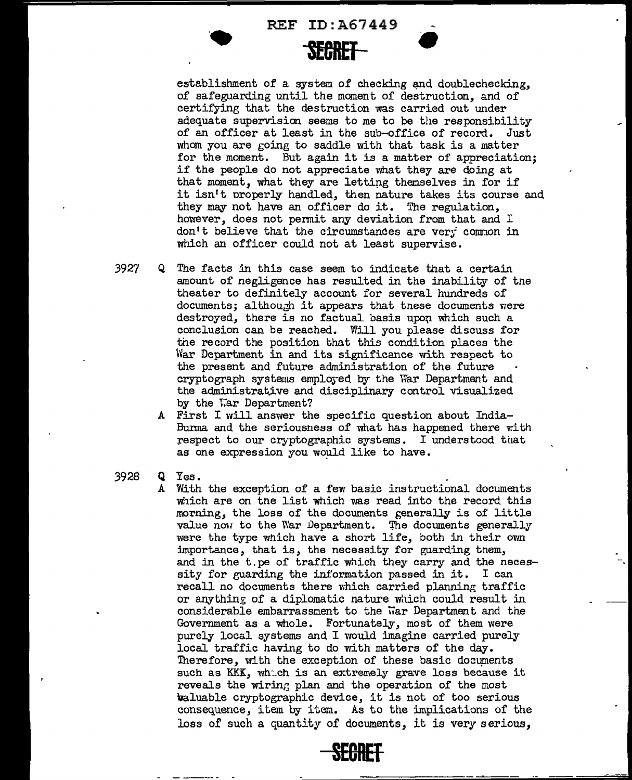REF ID:A67449



establishment of a system of checking and doublechecking, of safeguarding until the moment of destruction, and of certifying that the destruction was carried out under adequate supervision seems to me to be the responsibility of an officer at least in the sub-office of record. Just whom you are going to saddle with that task is a matter for the moment. But again it is a matter of appreciation; if the people do not appreciate what they are doing at that moment, what they are letting themselves in for if it isn't oroperly handled, then nature takes its course and they may not have an officer do it. The regulation, however, does not permit any deviation from that and I don't believe that the circumstances are very common in which an officer could not at least supervise.

- 3927 Q The facts in this case seem to indicate that a certain amount of negligence has resulted in the inability of the theater to definitely account for several hundreds of documents; although it appears that tnese documents were destroyed, there is no factual basis upon which such a conclusion can be reached. Will you please discuss for the record the position that this condition places the War Department in and its significance with respect to the present and future administration of' the future cryptograph systems emplej-ed by the War Department and the administrative and disciplinary control visualized by the War Department?
	- A First I will answer the specific question about India-Burma and the seriousness of what has happened there with respect to our cryptographic systems. I understood that as one expression you would like to have.
- 3928 Q Yes.
	- A With the exceotion of a few basic instructional documents which are on the list which was read into the record this morning, the loss of the documents generally is of little value now to the War Department. The documents generally were the type which have a short life, both in their own :importance, that is, the necessity for guarding tnem, and in the t. pe of traffic which they carry and the necessity for guarding the information passed in it. I can recall no documents there which carried planning traffic or anything of a diplomatic nature which could result in considerable embarrassment to the war Department and the Government as a whole. Fortunately, most of them were purely local systems and I would imagine carried purely local traffic having to do with matters of the day. Therefore, with the exception of these basic documents such as KKK, which is an extremely grave loss because it reveals the wiring plan and the operation of the most valuable cryptographic device, it is not of too serious consequence, item by item. As to the implications of the loss of such a quantity of documents, it is very serious,

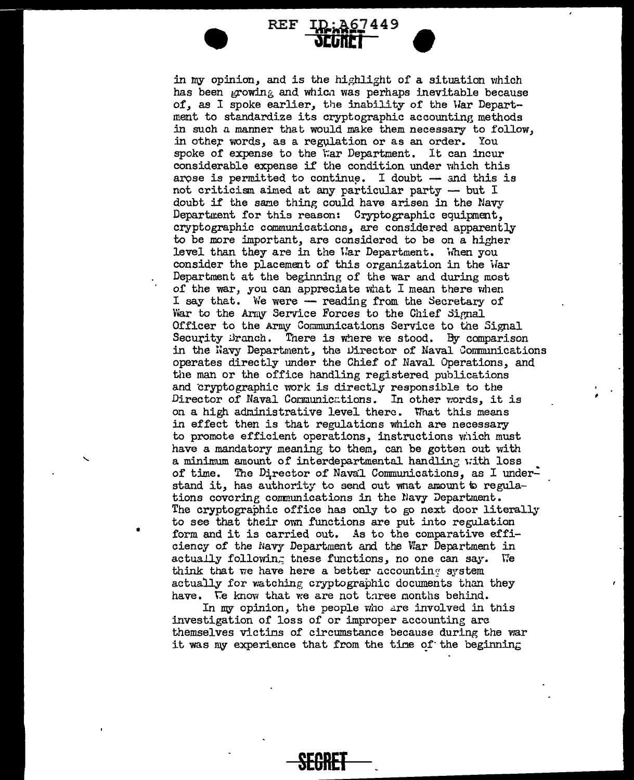## $REF ID: A67449$ **'1Clifttl**

**•** 

in my opinion, and is the highlight of a situation which has been growing and which was perhaps inevitable because of, as I spoke earlier, the inability of the War Department to standardize its cryptographic accounting methods in such a manner that would make them necessary to follow, in other words, as a regulation or as an order. You spoke of expense to the War Department. It can incur considerable expense if the condition under which this arose is permitted to continue. I doubt  $-$  and this is not criticism aimed at any particular party  $-$  but  $I$ doubt if the same thing could have arisen in the Navy Department for this reason: Cryptographic equipment. cryptographic communications, are considered apparently to be more important, are considered to be on a higher level than they are in the War Department. When you consider the placement of this organization in the War Department at the beginning of the war and during most of the war, you can appreciate what I mean there when I say that. We were -- reading from the Secretary of War to the Army Service Forces to the Chief Signal Officer to the Army Communications Service to the Signal Security Branch. There is where we stood. By comparison in the Navy Department, the Director of Naval Communications operates directly under the Chief of Naval Operations, and the man or the office handling registered publications and cryptographic work is directly responsible to the Director of Naval Communications. In other words, it is on a high administrative level there. What this means in effect then *is* that regulations which are necessary to promote efficient operations, instructions vi1ich must have a mandatory meaning to them, can be gotten out with a minimum amount of interdepartmental handling with loss of time. The Director of Naval Communications, as I understand it, has authority to send out wnat amount to regulations covering communications in the Navy Department. The cryptographic office has only to go next door literally to see that their own functions are put into regulation form and it is carried out. As to the comparative efficiency of the Navy Department and the War Department in actually following these functions, no one can say. We think that we have here a better accounting system actually for watching cryptographic documents than they have. We know that we are not three months behind.

In my opinion, the people who are involved in this investigation of loss of or improper accounting arc themselves victins of circumstance because during the war it was my experience that from the time of the beginning

**SEGRET** 

•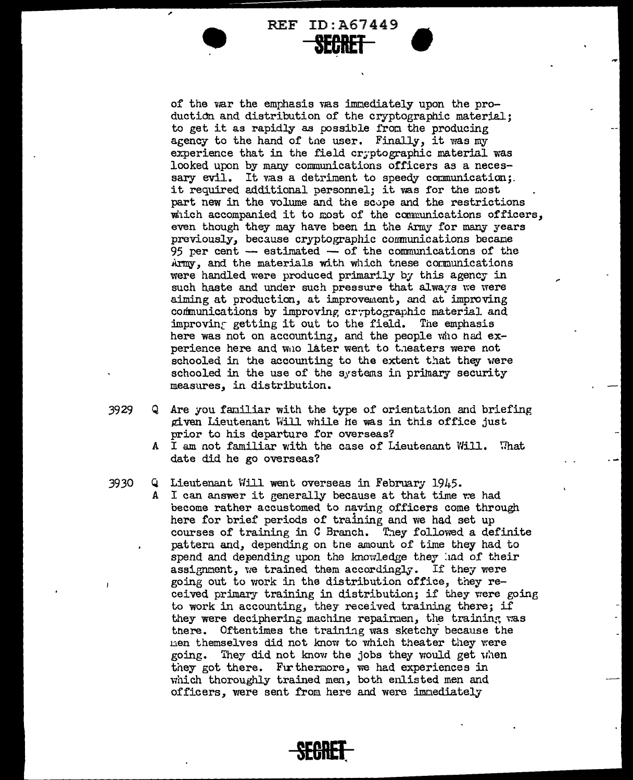REF ID:A67449 **SECRET** 

•

of the war the emphasis was immediately upon the production and distribution of the cryptographic material; to get it as rapidly as possible from the producing agency to the hand of tne user. Finally, it was my experience that in the field cryptographic material was looked upon by many communications officers as a necessary evil. It was a detriment to speedy communication;. it required additional personnel; it vas for the most part new in the volume and the scupe and the restrictions which accompanied it to most of the communications officers, even though they may have been in the Army for many years previously, because cryptographic communications became 95 per cent  $-$  estimated  $-$  of the communications of the Army, and the materials with which tnese conmunications were handled were produced primarily by this agency in such haste and under such pressure that always we were aiming at production, at improvement, and at improving communications by improving cryptographic material and improving getting it out to the field. The emphasis here was not on accounting, and the people who had experience here and who later went to theaters were not schooled in the accounting to the extent that they were schooled in the use of the systems in primary security measures, in distribution.

- $3929$  Q Are you familiar with the type of orientation and briefing given Lieutenant Will while he was in this office just prior to his departure for overseas?
	- A I am not familiar with the case of Lieutenant Will. What date did he go overseas?

## 3930 Q Lieutenant Will went overseas in February 1945.

A I can answer it generally because at that time we had become rather accustomed to naving officers come through here for brief periods of training and we had set up courses of training in C Branch. They followed a definite pattern and, depending on tne amount of time they had to spend and depending upon the knowledge they had of their assignment, we trained them accordingly. If they were going out to work in the distribution office, they received primary training in distribution; if they were going to work in accounting, they received training there; if they were deciphering machine repairmen, the training was tnere. Oftentimes the trainiag was sketchy because the nen themselves did not know to which theater they were going. They did not know the jobs they would get when they got there. Furthermore, we had experiences in which thoroughly trained men, both enlisted men and officers, were sent from here and were immediately